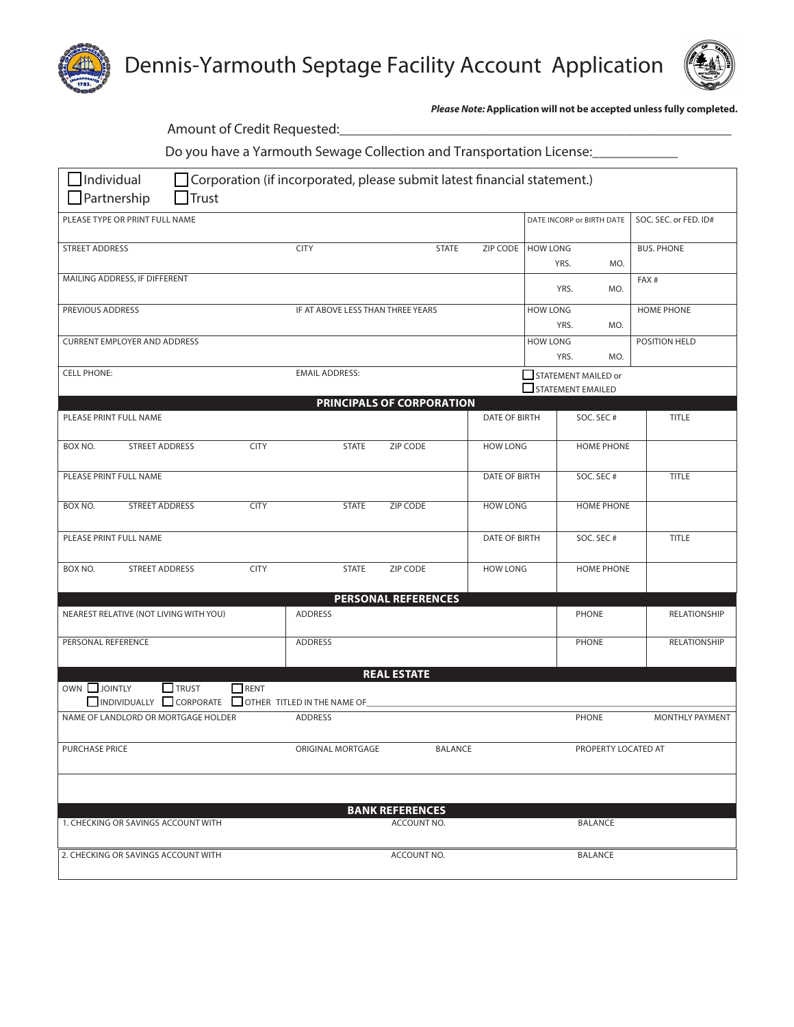



*Please Note:* **Application will not be accepted unless fully completed.**

| Amount of Credit Requested:                                                                                                         |                       |             |                                                    |                                  |                 |                              |                                                    |                   |                       |
|-------------------------------------------------------------------------------------------------------------------------------------|-----------------------|-------------|----------------------------------------------------|----------------------------------|-----------------|------------------------------|----------------------------------------------------|-------------------|-----------------------|
| Do you have a Yarmouth Sewage Collection and Transportation License:                                                                |                       |             |                                                    |                                  |                 |                              |                                                    |                   |                       |
| $\Box$ Individual<br>Corporation (if incorporated, please submit latest financial statement.)<br>$\Box$ Partnership<br>$\Box$ Trust |                       |             |                                                    |                                  |                 |                              |                                                    |                   |                       |
| PLEASE TYPE OR PRINT FULL NAME                                                                                                      |                       |             |                                                    |                                  |                 |                              | DATE INCORP or BIRTH DATE                          |                   | SOC. SEC. or FED. ID# |
| <b>STREET ADDRESS</b>                                                                                                               |                       |             | <b>CITY</b>                                        | <b>STATE</b>                     | ZIP CODE        | <b>HOW LONG</b>              | YRS.<br>MO.                                        | <b>BUS. PHONE</b> |                       |
| MAILING ADDRESS, IF DIFFERENT                                                                                                       |                       |             |                                                    |                                  |                 | MO.<br>YRS.                  |                                                    | FAX#              |                       |
| PREVIOUS ADDRESS<br>IF AT ABOVE LESS THAN THREE YEARS                                                                               |                       |             | <b>HOW LONG</b>                                    | <b>HOME PHONE</b><br>MO.<br>YRS. |                 |                              |                                                    |                   |                       |
| <b>CURRENT EMPLOYER AND ADDRESS</b>                                                                                                 |                       |             |                                                    |                                  | <b>HOW LONG</b> | POSITION HELD<br>YRS.<br>MO. |                                                    |                   |                       |
| <b>CELL PHONE:</b>                                                                                                                  |                       |             | <b>EMAIL ADDRESS:</b>                              |                                  |                 |                              | STATEMENT MAILED or<br>$\square$ STATEMENT EMAILED |                   |                       |
|                                                                                                                                     |                       |             |                                                    | PRINCIPALS OF CORPORATION        |                 |                              |                                                    |                   |                       |
| PLEASE PRINT FULL NAME                                                                                                              |                       |             |                                                    |                                  | DATE OF BIRTH   |                              | SOC. SEC#                                          |                   | <b>TITLE</b>          |
| BOX NO.                                                                                                                             | STREET ADDRESS        | <b>CITY</b> | <b>STATE</b>                                       | ZIP CODE                         | <b>HOW LONG</b> |                              | <b>HOME PHONE</b>                                  |                   |                       |
| PLEASE PRINT FULL NAME                                                                                                              |                       |             |                                                    |                                  | DATE OF BIRTH   |                              | SOC. SEC#                                          |                   | TITLE                 |
| BOX NO.                                                                                                                             | <b>STREET ADDRESS</b> | <b>CITY</b> | <b>STATE</b>                                       | <b>ZIP CODE</b>                  | <b>HOW LONG</b> |                              | <b>HOME PHONE</b>                                  |                   |                       |
| PLEASE PRINT FULL NAME                                                                                                              |                       |             |                                                    |                                  | DATE OF BIRTH   |                              | SOC. SEC#                                          |                   | <b>TITLE</b>          |
| BOX NO.                                                                                                                             | STREET ADDRESS        | <b>CITY</b> | <b>STATE</b>                                       | ZIP CODE                         | <b>HOW LONG</b> |                              | <b>HOME PHONE</b>                                  |                   |                       |
|                                                                                                                                     |                       |             |                                                    | <b>PERSONAL REFERENCES</b>       |                 |                              |                                                    |                   |                       |
| NEAREST RELATIVE (NOT LIVING WITH YOU)                                                                                              |                       |             | <b>ADDRESS</b>                                     |                                  |                 |                              | <b>PHONE</b>                                       |                   | RELATIONSHIP          |
| PERSONAL REFERENCE                                                                                                                  |                       |             | <b>ADDRESS</b>                                     |                                  |                 |                              | <b>PHONE</b>                                       |                   | RELATIONSHIP          |
|                                                                                                                                     |                       |             |                                                    | <b>REAL ESTATE</b>               |                 |                              |                                                    |                   |                       |
| OWN JOINTLY                                                                                                                         | $\Box$ TRUST          | $\Box$ RENT | INDIVIDUALLY CORPORATE OTHER TITLED IN THE NAME OF |                                  |                 |                              |                                                    |                   |                       |
| NAME OF LANDLORD OR MORTGAGE HOLDER                                                                                                 |                       |             | <b>ADDRESS</b>                                     |                                  |                 |                              | PHONE                                              |                   | MONTHLY PAYMENT       |
| <b>PURCHASE PRICE</b>                                                                                                               |                       |             | ORIGINAL MORTGAGE                                  | <b>BALANCE</b>                   |                 |                              | PROPERTY LOCATED AT                                |                   |                       |
|                                                                                                                                     |                       |             |                                                    |                                  |                 |                              |                                                    |                   |                       |
| <b>BANK REFERENCES</b>                                                                                                              |                       |             |                                                    |                                  |                 |                              |                                                    |                   |                       |
| 1. CHECKING OR SAVINGS ACCOUNT WITH<br>ACCOUNT NO.<br>BALANCE                                                                       |                       |             |                                                    |                                  |                 |                              |                                                    |                   |                       |
| 2. CHECKING OR SAVINGS ACCOUNT WITH<br>ACCOUNT NO.<br><b>BALANCE</b>                                                                |                       |             |                                                    |                                  |                 |                              |                                                    |                   |                       |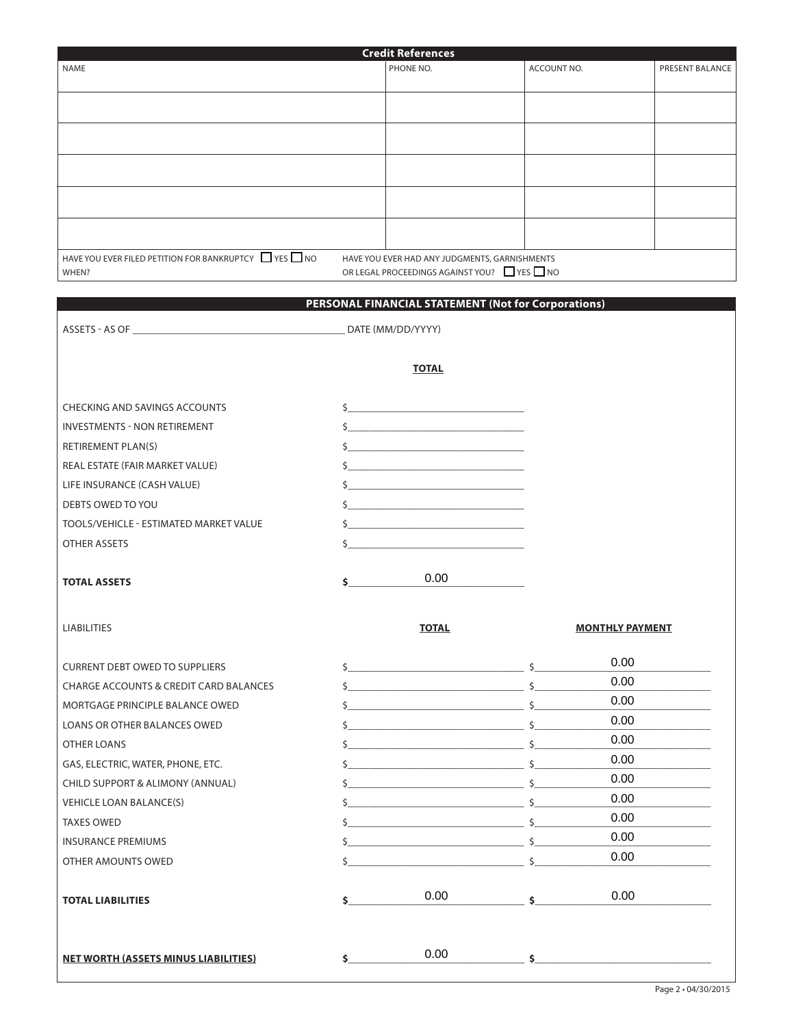|                                                               | <b>Credit References</b>                                                                                                                                                                                                                                                                                                                                                                                             |                        |                 |
|---------------------------------------------------------------|----------------------------------------------------------------------------------------------------------------------------------------------------------------------------------------------------------------------------------------------------------------------------------------------------------------------------------------------------------------------------------------------------------------------|------------------------|-----------------|
| <b>NAME</b>                                                   | PHONE NO.                                                                                                                                                                                                                                                                                                                                                                                                            | ACCOUNT NO.            | PRESENT BALANCE |
|                                                               |                                                                                                                                                                                                                                                                                                                                                                                                                      |                        |                 |
|                                                               |                                                                                                                                                                                                                                                                                                                                                                                                                      |                        |                 |
|                                                               |                                                                                                                                                                                                                                                                                                                                                                                                                      |                        |                 |
|                                                               |                                                                                                                                                                                                                                                                                                                                                                                                                      |                        |                 |
|                                                               |                                                                                                                                                                                                                                                                                                                                                                                                                      |                        |                 |
|                                                               |                                                                                                                                                                                                                                                                                                                                                                                                                      |                        |                 |
|                                                               |                                                                                                                                                                                                                                                                                                                                                                                                                      |                        |                 |
|                                                               |                                                                                                                                                                                                                                                                                                                                                                                                                      |                        |                 |
|                                                               |                                                                                                                                                                                                                                                                                                                                                                                                                      |                        |                 |
| HAVE YOU EVER FILED PETITION FOR BANKRUPTCY THES THO<br>WHEN? | HAVE YOU EVER HAD ANY JUDGMENTS, GARNISHMENTS<br>OR LEGAL PROCEEDINGS AGAINST YOU? YES NO                                                                                                                                                                                                                                                                                                                            |                        |                 |
|                                                               |                                                                                                                                                                                                                                                                                                                                                                                                                      |                        |                 |
|                                                               | PERSONAL FINANCIAL STATEMENT (Not for Corporations)                                                                                                                                                                                                                                                                                                                                                                  |                        |                 |
|                                                               | DATE (MM/DD/YYYY)                                                                                                                                                                                                                                                                                                                                                                                                    |                        |                 |
|                                                               |                                                                                                                                                                                                                                                                                                                                                                                                                      |                        |                 |
|                                                               | <b>TOTAL</b>                                                                                                                                                                                                                                                                                                                                                                                                         |                        |                 |
|                                                               |                                                                                                                                                                                                                                                                                                                                                                                                                      |                        |                 |
| <b>CHECKING AND SAVINGS ACCOUNTS</b>                          | $\begin{array}{c c c c c c} \hline \text{S} & \text{S} & \text{S} & \text{S} & \text{S} & \text{S} & \text{S} & \text{S} & \text{S} & \text{S} & \text{S} & \text{S} & \text{S} & \text{S} & \text{S} & \text{S} & \text{S} & \text{S} & \text{S} & \text{S} & \text{S} & \text{S} & \text{S} & \text{S} & \text{S} & \text{S} & \text{S} & \text{S} & \text{S} & \text{S} & \text{S} & \text{S} & \text{S} & \text$ |                        |                 |
| <b>INVESTMENTS - NON RETIREMENT</b>                           | $\frac{1}{2}$                                                                                                                                                                                                                                                                                                                                                                                                        |                        |                 |
| RETIREMENT PLAN(S)                                            |                                                                                                                                                                                                                                                                                                                                                                                                                      |                        |                 |
| REAL ESTATE (FAIR MARKET VALUE)                               | $\frac{1}{2}$                                                                                                                                                                                                                                                                                                                                                                                                        |                        |                 |
| LIFE INSURANCE (CASH VALUE)                                   | $\begin{picture}(20,10) \put(0,0){\vector(1,0){100}} \put(15,0){\vector(1,0){100}} \put(15,0){\vector(1,0){100}} \put(15,0){\vector(1,0){100}} \put(15,0){\vector(1,0){100}} \put(15,0){\vector(1,0){100}} \put(15,0){\vector(1,0){100}} \put(15,0){\vector(1,0){100}} \put(15,0){\vector(1,0){100}} \put(15,0){\vector(1,0){100}} \put(15,0){\vector(1,0){100}} \$                                                  |                        |                 |
| DEBTS OWED TO YOU                                             | $\mathsf{S}$ . The contract of the contract of the contract of the contract of the contract of the contract of the contract of the contract of the contract of the contract of the contract of the contract of the contract of th                                                                                                                                                                                    |                        |                 |
| TOOLS/VEHICLE - ESTIMATED MARKET VALUE                        | $\frac{1}{2}$                                                                                                                                                                                                                                                                                                                                                                                                        |                        |                 |
| <b>OTHER ASSETS</b>                                           |                                                                                                                                                                                                                                                                                                                                                                                                                      |                        |                 |
|                                                               |                                                                                                                                                                                                                                                                                                                                                                                                                      |                        |                 |
| <b>TOTAL ASSETS</b>                                           | 0.00                                                                                                                                                                                                                                                                                                                                                                                                                 |                        |                 |
|                                                               |                                                                                                                                                                                                                                                                                                                                                                                                                      |                        |                 |
|                                                               |                                                                                                                                                                                                                                                                                                                                                                                                                      |                        |                 |
| <b>LIABILITIES</b>                                            | <b>TOTAL</b>                                                                                                                                                                                                                                                                                                                                                                                                         | <b>MONTHLY PAYMENT</b> |                 |
| <b>CURRENT DEBT OWED TO SUPPLIERS</b>                         | $\mathsf{\$}$                                                                                                                                                                                                                                                                                                                                                                                                        | 0.00                   |                 |
| <b>CHARGE ACCOUNTS &amp; CREDIT CARD BALANCES</b>             |                                                                                                                                                                                                                                                                                                                                                                                                                      | 0.00                   |                 |
| MORTGAGE PRINCIPLE BALANCE OWED                               |                                                                                                                                                                                                                                                                                                                                                                                                                      | 0.00<br>$\mathsf{S}$   |                 |
| LOANS OR OTHER BALANCES OWED                                  | $\mathsf{S}$ and $\mathsf{S}$                                                                                                                                                                                                                                                                                                                                                                                        | 0.00                   |                 |
| OTHER LOANS                                                   |                                                                                                                                                                                                                                                                                                                                                                                                                      | 0.00<br>$\mathsf{S}$   |                 |
| GAS, ELECTRIC, WATER, PHONE, ETC.                             | $\sim$ 5                                                                                                                                                                                                                                                                                                                                                                                                             | 0.00                   |                 |
| CHILD SUPPORT & ALIMONY (ANNUAL)                              |                                                                                                                                                                                                                                                                                                                                                                                                                      | 0.00<br>$\mathsf{S}$   |                 |
| VEHICLE LOAN BALANCE(S)                                       | $\sim$ 5                                                                                                                                                                                                                                                                                                                                                                                                             | 0.00                   |                 |
| <b>TAXES OWED</b>                                             |                                                                                                                                                                                                                                                                                                                                                                                                                      | 0.00                   |                 |
| <b>INSURANCE PREMIUMS</b>                                     | $\mathsf{S}$                                                                                                                                                                                                                                                                                                                                                                                                         | 0.00                   |                 |
| OTHER AMOUNTS OWED                                            |                                                                                                                                                                                                                                                                                                                                                                                                                      | 0.00<br>Ŝ.             |                 |

**TOTAL LIABILITIES** 6 **1000 1000 1000 1000 1000 1000 1000 1000 1000 1000 1000 1000 1000 1000 1000 1000 1000 1000 1000 1000 1000 1000 1000 1000 1000 1000 1000 1000 100** 

**NET WORTH (ASSETS MINUS LIABILITIES) \$\_\_\_\_\_\_\_\_\_\_\_\_\_\_\_\_\_\_\_\_\_\_\_\_\_\_\_\_\_\_\_\_\_\_ \$\_\_\_\_\_\_\_\_\_\_\_\_\_\_\_\_\_\_\_\_\_\_\_\_\_\_\_\_\_\_\_\_\_\_**

 $\sim$ 

0.00